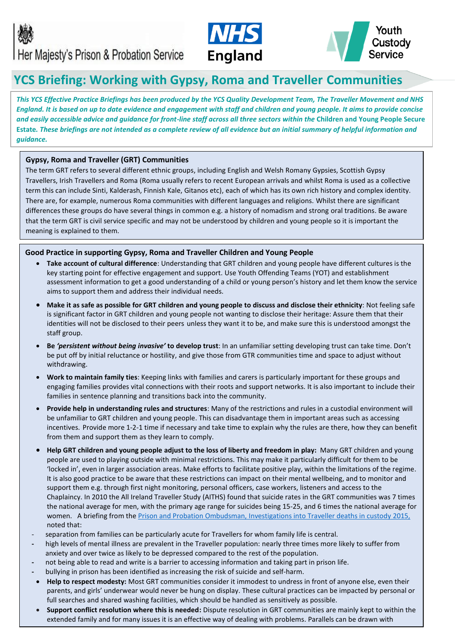



# **YCS Briefing: Working with Gypsy, Roma and Traveller Communities**

*This YCS Effective Practice Briefings has been produced by the YCS Quality Development Team, The Traveller Movement and NHS England. It is based on up to date evidence and engagement with staff and children and young people. It aims to provide concise and easily accessible advice and guidance for front-line staff across all three sectors within the* **Children and Young People Secure Estate***. These briefings are not intended as a complete review of all evidence but an initial summary of helpful information and guidance.*

# **Gypsy, Roma and Traveller (GRT) Communities**

The term GRT refers to several different ethnic groups, including English and Welsh Romany Gypsies, Scottish Gypsy Travellers, Irish Travellers and Roma (Roma usually refers to recent European arrivals and whilst Roma is used as a collective term this can include Sinti, Kalderash, Finnish Kale, Gitanos etc), each of which has its own rich history and complex identity. There are, for example, numerous Roma communities with different languages and religions. Whilst there are significant differences these groups do have several things in common e.g. a history of nomadism and strong oral traditions. Be aware that the term GRT is civil service specific and may not be understood by children and young people so it is important the meaning is explained to them.

# **Good Practice in supporting Gypsy, Roma and Traveller Children and Young People**

- **Take account of cultural difference**: Understanding that GRT children and young people have different cultures is the key starting point for effective engagement and support. Use Youth Offending Teams (YOT) and establishment assessment information to get a good understanding of a child or young person's history and let them know the service aims to support them and address their individual needs.
- **Make it as safe as possible for GRT children and young people to discuss and disclose their ethnicity**: Not feeling safe is significant factor in GRT children and young people not wanting to disclose their heritage: Assure them that their identities will not be disclosed to their peers unless they want it to be, and make sure this is understood amongst the staff group.
- **Be** *'persistent without being invasive'* **to develop trust**: In an unfamiliar setting developing trust can take time. Don't be put off by initial reluctance or hostility, and give those from GTR communities time and space to adjust without withdrawing.
- **Work to maintain family ties**: Keeping links with families and carers is particularly important for these groups and engaging families provides vital connections with their roots and support networks. It is also important to include their families in sentence planning and transitions back into the community.
- **Provide help in understanding rules and structures**: Many of the restrictions and rules in a custodial environment will be unfamiliar to GRT children and young people. This can disadvantage them in important areas such as accessing incentives. Provide more 1-2-1 time if necessary and take time to explain why the rules are there, how they can benefit from them and support them as they learn to comply.
- **Help GRT children and young people adjust to the loss of liberty and freedom in play:** Many GRT children and young people are used to playing outside with minimal restrictions. This may make it particularly difficult for them to be 'locked in', even in larger association areas. Make efforts to facilitate positive play, within the limitations of the regime. It is also good practice to be aware that these restrictions can impact on their mental wellbeing, and to monitor and support them e.g. through first night monitoring, personal officers, case workers, listeners and access to the Chaplaincy. In 2010 the All Ireland Traveller Study (AITHS) found that suicide rates in the GRT communities was 7 times the national average for men, with the primary age range for suicides being 15-25, and 6 times the national average for women. A briefing from the [Prison and Probation Ombudsman, Investigations into Traveller deaths in custody 2015,](https://s3-eu-west-2.amazonaws.com/ppo-prod-storage-1g9rkhjhkjmgw/uploads/2015/01/Traveller-deaths-news-release-_2_.pdf) noted that:
- separation from families can be particularly acute for Travellers for whom family life is central.
- **-** high levels of mental illness are prevalent in the Traveller population: nearly three times more likely to suffer from anxiety and over twice as likely to be depressed compared to the rest of the population.
- **-** not being able to read and write is a barrier to accessing information and taking part in prison life.
- **-** bullying in prison has been identified as increasing the risk of suicide and self-harm.
- **Help to respect modesty:** Most GRT communities consider it immodest to undress in front of anyone else, even their parents, and girls' underwear would never be hung on display. These cultural practices can be impacted by personal or full searches and shared washing facilities, which should be handled as sensitively as possible.
- **Support conflict resolution where this is needed:** Dispute resolution in GRT communities are mainly kept to within the extended family and for many issues it is an effective way of dealing with problems. Parallels can be drawn with

aspects of conflict resolution used in custodial settings. GRT children and young people should be helped to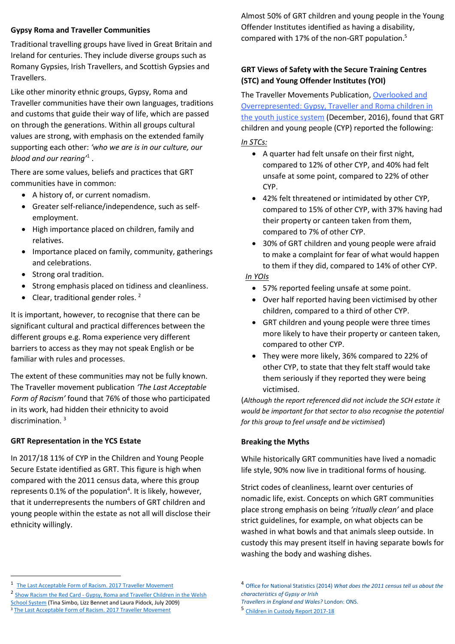# **Gypsy Roma and Traveller Communities**

Traditional travelling groups have lived in Great Britain and Ireland for centuries. They include diverse groups such as Romany Gypsies, Irish Travellers, and Scottish Gypsies and Travellers.

Like other minority ethnic groups, Gypsy, Roma and Traveller communities have their own languages, traditions and customs that guide their way of life, which are passed on through the generations. Within all groups cultural values are strong, with emphasis on the extended family supporting each other: *'who we are is in our culture, our blood and our rearing'*<sup>1</sup> .

There are some values, beliefs and practices that GRT communities have in common:

- A history of, or current nomadism.
- Greater self-reliance/independence, such as selfemployment.
- High importance placed on children, family and relatives.
- Importance placed on family, community, gatherings and celebrations.
- Strong oral tradition.
- Strong emphasis placed on tidiness and cleanliness.
- Clear, traditional gender roles.<sup>2</sup>

It is important, however, to recognise that there can be significant cultural and practical differences between the different groups e.g. Roma experience very different barriers to access as they may not speak English or be familiar with rules and processes.

The extent of these communities may not be fully known. The Traveller movement publication *'The Last Acceptable Form of Racism'* found that 76% of those who participated in its work, had hidden their ethnicity to avoid discrimination. <sup>3</sup>

## **GRT Representation in the YCS Estate**

In 2017/18 11% of CYP in the Children and Young People Secure Estate identified as GRT. This figure is high when compared with the 2011 census data, where this group represents 0.1% of the population<sup>4</sup>. It is likely, however, that it underrepresents the numbers of GRT children and young people within the estate as not all will disclose their ethnicity willingly.

Almost 50% of GRT children and young people in the Young Offender Institutes identified as having a disability, compared with 17% of the non-GRT population. 5

# **GRT Views of Safety with the Secure Training Centres (STC) and Young Offender Institutes (YOI)**

The Traveller Movements Publication, [Overlooked and](https://travellermovement.org.uk/phocadownload/userupload/criminal-justice/Overlooked-and-Overrepresented-Gypsy-Traveller-and-Roma-children-in-the-youth-justice-system.pdf)  [Overrepresented: Gypsy, Traveller and Roma children in](https://travellermovement.org.uk/phocadownload/userupload/criminal-justice/Overlooked-and-Overrepresented-Gypsy-Traveller-and-Roma-children-in-the-youth-justice-system.pdf)  [the youth justice system](https://travellermovement.org.uk/phocadownload/userupload/criminal-justice/Overlooked-and-Overrepresented-Gypsy-Traveller-and-Roma-children-in-the-youth-justice-system.pdf) (December, 2016), found that GRT children and young people (CYP) reported the following:

*In STCs:*

- A quarter had felt unsafe on their first night, compared to 12% of other CYP, and 40% had felt unsafe at some point, compared to 22% of other CYP.
- 42% felt threatened or intimidated by other CYP, compared to 15% of other CYP, with 37% having had their property or canteen taken from them, compared to 7% of other CYP.
- 30% of GRT children and young people were afraid to make a complaint for fear of what would happen to them if they did, compared to 14% of other CYP.

## *In YOIs*

- 57% reported feeling unsafe at some point.
- Over half reported having been victimised by other children, compared to a third of other CYP.
- GRT children and young people were three times more likely to have their property or canteen taken, compared to other CYP.
- They were more likely, 36% compared to 22% of other CYP, to state that they felt staff would take them seriously if they reported they were being victimised.

(*Although the report referenced did not include the SCH estate it would be important for that sector to also recognise the potential for this group to feel unsafe and be victimised*)

## **Breaking the Myths**

While historically GRT communities have lived a nomadic life style, 90% now live in traditional forms of housing.

Strict codes of cleanliness, learnt over centuries of nomadic life, exist. Concepts on which GRT communities place strong emphasis on being *'ritually clean'* and place strict guidelines, for example, on what objects can be washed in what bowls and that animals sleep outside. In custody this may present itself in having separate bowls for washing the body and washing dishes.

 $\overline{a}$ 

<sup>&</sup>lt;sup>1</sup> [The Last Acceptable Form of Racism. 2017 Traveller Movement](https://travellermovement.org.uk/phocadownload/userupload/equality-human-rights/last-acceptable-form-of-racism-traveller-movement-report.pdf)

<sup>&</sup>lt;sup>2</sup> Show Racism the Red Card - Gypsy, Roma and Traveller Children in the Welsh [School System](https://www.theredcard.org/news/2009/07/09/gypsy-roma-and-traveller-children-in-the-welsh-school-system) (Tina Simbo, Lizz Bennet and Laura Pidock, July 2009) <sup>3</sup> [The Last Acceptable Form of Racism. 2017 Traveller Movement](https://travellermovement.org.uk/phocadownload/userupload/equality-human-rights/last-acceptable-form-of-racism-traveller-movement-report.pdf)

<sup>4</sup> Office for National Statistics (2014) *What does the 2011 census tell us about the characteristics of Gypsy or Irish*

*Travellers in England and Wales?* London: ONS.

<sup>5</sup> [Children in Custody Report 2017-18](https://www.justiceinspectorates.gov.uk/hmiprisons/wp-content/uploads/sites/4/2019/01/6.5164_HMI_Children-in-Custody-2017-18_A4_v10_web.pdf)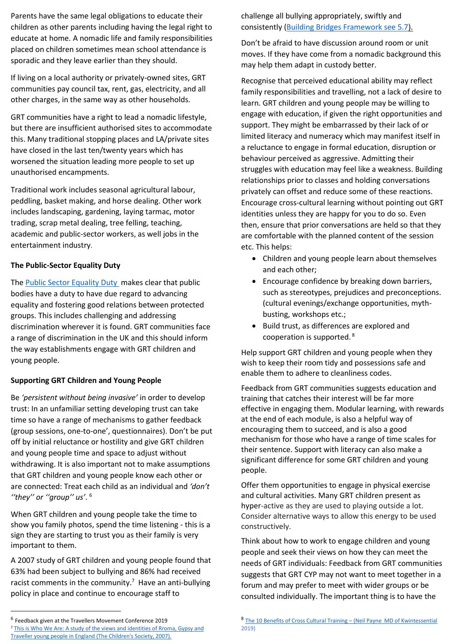Parents have the same legal obligations to educate their children as other parents including having the legal right to educate at home. A nomadic life and family responsibilities placed on children sometimes mean school attendance is sporadic and they leave earlier than they should.

If living on a local authority or privately-owned sites, GRT communities pay council tax, rent, gas, electricity, and all other charges, in the same way as other households.

GRT communities have a right to lead a nomadic lifestyle, but there are insufficient authorised sites to accommodate this. Many traditional stopping places and LA/private sites have closed in the last ten/twenty years which has worsened the situation leading more people to set up unauthorised encampments.

Traditional work includes seasonal agricultural labour, peddling, basket making, and horse dealing. Other work includes landscaping, gardening, laying tarmac, motor trading, scrap metal dealing, tree felling, teaching, academic and public-sector workers, as well jobs in the entertainment industry.

# **The Public-Sector Equality Duty**

The [Public Sector Equality Duty](https://www.mind.org.uk/workplace/influence-and-participation-toolkit/how/planning/diversity-and-difference/) makes clear that public bodies have a duty to have due regard to advancing equality and fostering good relations between protected groups. This includes challenging and addressing discrimination wherever it is found. GRT communities face a range of discrimination in the UK and this should inform the way establishments engage with GRT children and young people.

# **Supporting GRT Children and Young People**

Be *'persistent without being invasive'* in order to develop trust: In an unfamiliar setting developing trust can take time so have a range of mechanisms to gather feedback (group sessions, one-to-one', questionnaires). Don't be put off by initial reluctance or hostility and give GRT children and young people time and space to adjust without withdrawing. It is also important not to make assumptions that GRT children and young people know each other or are connected: Treat each child as an individual and *'don't ''they'' or ''group'' us'*. 6

When GRT children and young people take the time to show you family photos, spend the time listening - this is a sign they are starting to trust you as their family is very important to them.

A 2007 study of GRT children and young people found that 63% had been subject to bullying and 86% had received racist comments in the community.<sup>7</sup> Have an anti-bullying policy in place and continue to encourage staff to

 $\overline{a}$ 

challenge all bullying appropriately, swiftly and consistently [\(Building Bridges Framework](https://assets.publishing.service.gov.uk/government/uploads/system/uploads/attachment_data/file/789861/building-bridges-positive-behaviour-framework.pdf) see 5.7).

Don't be afraid to have discussion around room or unit moves. If they have come from a nomadic background this may help them adapt in custody better.

Recognise that perceived educational ability may reflect family responsibilities and travelling, not a lack of desire to learn. GRT children and young people may be willing to engage with education, if given the right opportunities and support. They might be embarrassed by their lack of or limited literacy and numeracy which may manifest itself in a reluctance to engage in formal education, disruption or behaviour perceived as aggressive. Admitting their struggles with education may feel like a weakness. Building relationships prior to classes and holding conversations privately can offset and reduce some of these reactions. Encourage cross-cultural learning without pointing out GRT identities unless they are happy for you to do so. Even then, ensure that prior conversations are held so that they are comfortable with the planned content of the session etc. This helps:

- Children and young people learn about themselves and each other;
- Encourage confidence by breaking down barriers, such as stereotypes, prejudices and preconceptions. (cultural evenings/exchange opportunities, mythbusting, workshops etc.;
- Build trust, as differences are explored and cooperation is supported. <sup>8</sup>

Help support GRT children and young people when they wish to keep their room tidy and possessions safe and enable them to adhere to cleanliness codes.

Feedback from GRT communities suggests education and training that catches their interest will be far more effective in engaging them. Modular learning, with rewards at the end of each module, is also a helpful way of encouraging them to succeed, and is also a good mechanism for those who have a range of time scales for their sentence. Support with literacy can also make a significant difference for some GRT children and young people.

Offer them opportunities to engage in physical exercise and cultural activities. Many GRT children present as hyper-active as they are used to playing outside a lot. Consider alternative ways to allow this energy to be used constructively.

Think about how to work to engage children and young people and seek their views on how they can meet the needs of GRT individuals: Feedback from GRT communities suggests that GRT CYP may not want to meet together in a forum and may prefer to meet with wider groups or be consulted individually. The important thing is to have the

<sup>6</sup> Feedback given at the Travellers Movement Conference 2019

<sup>&</sup>lt;sup>7</sup> This is Who We Are: A study of the views and identities of Rroma, Gypsy and [Traveller young people in England \(The Children's Society, 2007\).](https://www.childrenssociety.org.uk/sites/default/files/tcs/research_docs/This%20is%20who%20we%20are%20-%20A%20study%20of%20the%20experiences%20of%20Rroma%2C%20gypsy%20and%20traveller%20children%20throughout%20England.pdf)

<sup>8</sup> [The 10 Benefits of Cross Cultural Training](http://www.odrnews.com/7869.php) - (Neil Payne MD of Kwintessential 2019)